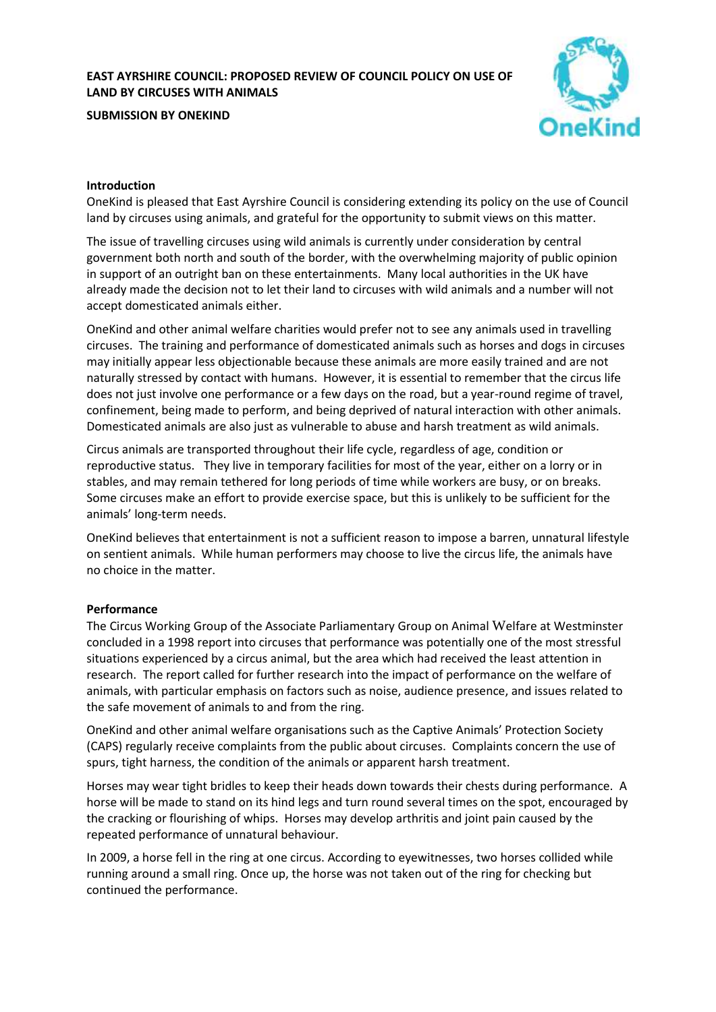## **EAST AYRSHIRE COUNCIL: PROPOSED REVIEW OF COUNCIL POLICY ON USE OF LAND BY CIRCUSES WITH ANIMALS**

**SUBMISSION BY ONEKIND**



#### **Introduction**

OneKind is pleased that East Ayrshire Council is considering extending its policy on the use of Council land by circuses using animals, and grateful for the opportunity to submit views on this matter.

The issue of travelling circuses using wild animals is currently under consideration by central government both north and south of the border, with the overwhelming majority of public opinion in support of an outright ban on these entertainments. Many local authorities in the UK have already made the decision not to let their land to circuses with wild animals and a number will not accept domesticated animals either.

OneKind and other animal welfare charities would prefer not to see any animals used in travelling circuses. The training and performance of domesticated animals such as horses and dogs in circuses may initially appear less objectionable because these animals are more easily trained and are not naturally stressed by contact with humans. However, it is essential to remember that the circus life does not just involve one performance or a few days on the road, but a year-round regime of travel, confinement, being made to perform, and being deprived of natural interaction with other animals. Domesticated animals are also just as vulnerable to abuse and harsh treatment as wild animals.

Circus animals are transported throughout their life cycle, regardless of age, condition or reproductive status. They live in temporary facilities for most of the year, either on a lorry or in stables, and may remain tethered for long periods of time while workers are busy, or on breaks. Some circuses make an effort to provide exercise space, but this is unlikely to be sufficient for the animals' long-term needs.

OneKind believes that entertainment is not a sufficient reason to impose a barren, unnatural lifestyle on sentient animals. While human performers may choose to live the circus life, the animals have no choice in the matter.

#### **Performance**

The Circus Working Group of the Associate Parliamentary Group on Animal Welfare at Westminster concluded in a 1998 report into circuses that performance was potentially one of the most stressful situations experienced by a circus animal, but the area which had received the least attention in research. The report called for further research into the impact of performance on the welfare of animals, with particular emphasis on factors such as noise, audience presence, and issues related to the safe movement of animals to and from the ring.

OneKind and other animal welfare organisations such as the Captive Animals' Protection Society (CAPS) regularly receive complaints from the public about circuses. Complaints concern the use of spurs, tight harness, the condition of the animals or apparent harsh treatment.

Horses may wear tight bridles to keep their heads down towards their chests during performance. A horse will be made to stand on its hind legs and turn round several times on the spot, encouraged by the cracking or flourishing of whips. Horses may develop arthritis and joint pain caused by the repeated performance of unnatural behaviour.

In 2009, a horse fell in the ring at one circus. According to eyewitnesses, two horses collided while running around a small ring. Once up, the horse was not taken out of the ring for checking but continued the performance.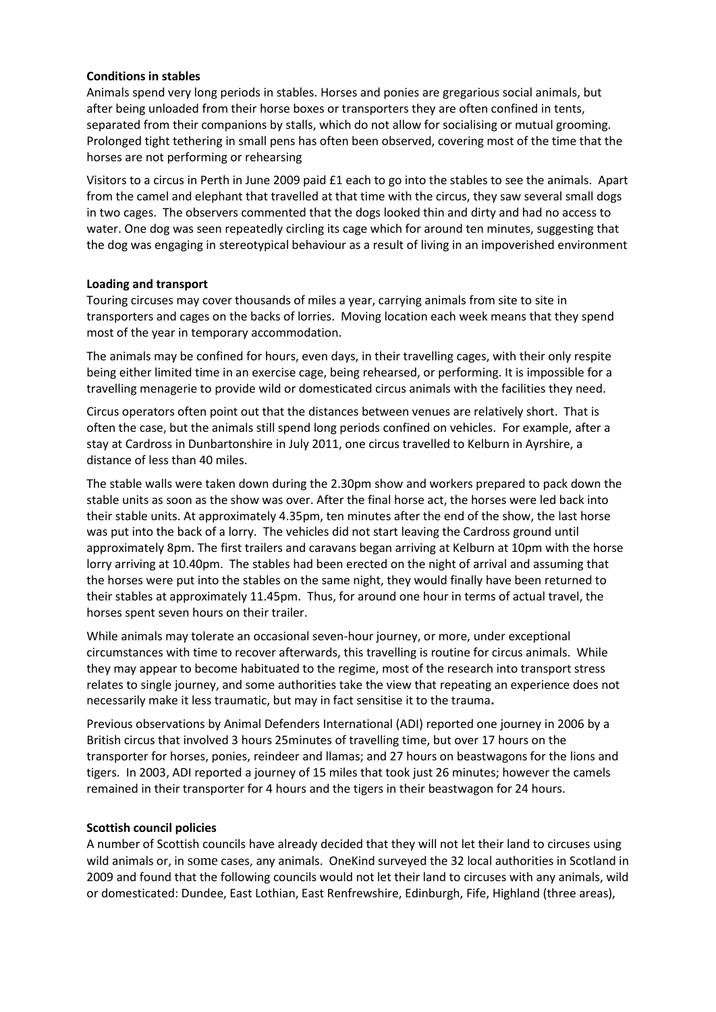#### **Conditions in stables**

Animals spend very long periods in stables. Horses and ponies are gregarious social animals, but after being unloaded from their horse boxes or transporters they are often confined in tents, separated from their companions by stalls, which do not allow for socialising or mutual grooming. Prolonged tight tethering in small pens has often been observed, covering most of the time that the horses are not performing or rehearsing

Visitors to a circus in Perth in June 2009 paid £1 each to go into the stables to see the animals. Apart from the camel and elephant that travelled at that time with the circus, they saw several small dogs in two cages. The observers commented that the dogs looked thin and dirty and had no access to water. One dog was seen repeatedly circling its cage which for around ten minutes, suggesting that the dog was engaging in stereotypical behaviour as a result of living in an impoverished environment

### **Loading and transport**

Touring circuses may cover thousands of miles a year, carrying animals from site to site in transporters and cages on the backs of lorries. Moving location each week means that they spend most of the year in temporary accommodation.

The animals may be confined for hours, even days, in their travelling cages, with their only respite being either limited time in an exercise cage, being rehearsed, or performing. It is impossible for a travelling menagerie to provide wild or domesticated circus animals with the facilities they need.

Circus operators often point out that the distances between venues are relatively short. That is often the case, but the animals still spend long periods confined on vehicles. For example, after a stay at Cardross in Dunbartonshire in July 2011, one circus travelled to Kelburn in Ayrshire, a distance of less than 40 miles.

The stable walls were taken down during the 2.30pm show and workers prepared to pack down the stable units as soon as the show was over. After the final horse act, the horses were led back into their stable units. At approximately 4.35pm, ten minutes after the end of the show, the last horse was put into the back of a lorry. The vehicles did not start leaving the Cardross ground until approximately 8pm. The first trailers and caravans began arriving at Kelburn at 10pm with the horse lorry arriving at 10.40pm. The stables had been erected on the night of arrival and assuming that the horses were put into the stables on the same night, they would finally have been returned to their stables at approximately 11.45pm. Thus, for around one hour in terms of actual travel, the horses spent seven hours on their trailer.

While animals may tolerate an occasional seven-hour journey, or more, under exceptional circumstances with time to recover afterwards, this travelling is routine for circus animals. While they may appear to become habituated to the regime, most of the research into transport stress relates to single journey, and some authorities take the view that repeating an experience does not necessarily make it less traumatic, but may in fact sensitise it to the trauma**.**

Previous observations by Animal Defenders International (ADI) reported one journey in 2006 by a British circus that involved 3 hours 25minutes of travelling time, but over 17 hours on the transporter for horses, ponies, reindeer and llamas; and 27 hours on beastwagons for the lions and tigers. In 2003, ADI reported a journey of 15 miles that took just 26 minutes; however the camels remained in their transporter for 4 hours and the tigers in their beastwagon for 24 hours.

# **Scottish council policies**

A number of Scottish councils have already decided that they will not let their land to circuses using wild animals or, in some cases, any animals. One Kind surveyed the 32 local authorities in Scotland in 2009 and found that the following councils would not let their land to circuses with any animals, wild or domesticated: Dundee, East Lothian, East Renfrewshire, Edinburgh, Fife, Highland (three areas),